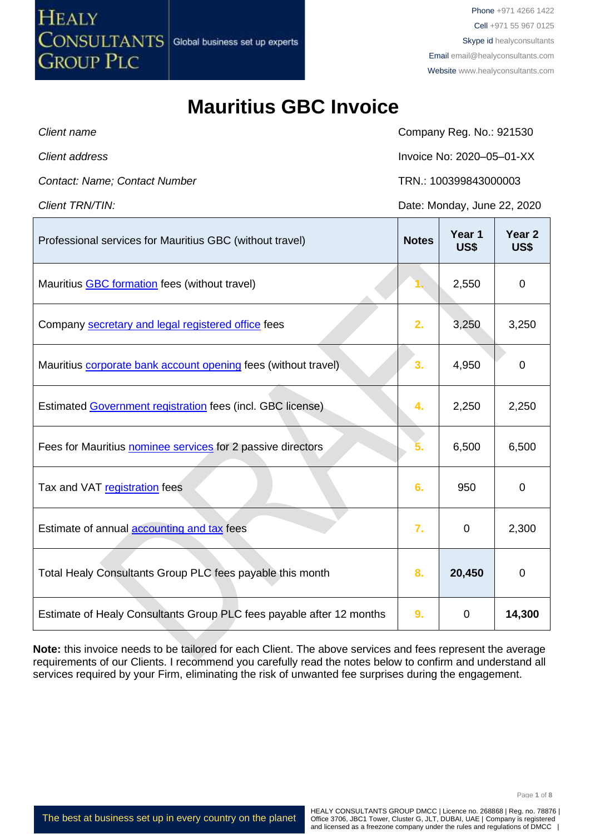## **Mauritius GBC Invoice**

**HEALY** 

**GROUP PLC** 

CONSULTANTS Global business set up experts

**Client name** Client name Company Reg. No.: 921530 *Client address* Invoice No: 2020–05–01-XX *Contact: Name; Contact Number* TRN.: 100399843000003 *Client TRN/TIN:* Date: Monday, June 22, 2020 Professional services for Mauritius GBC (without travel) **Notes Year 1 US\$ Year 2 US\$** Mauritius [GBC formation](http://www.healyconsultants.com/mauritius-company-registration/fees-timelines/) fees (without travel) **1.** 2,550 0 0 Company [secretary and legal registered office](http://www.healyconsultants.com/corporate-outsourcing-services/company-secretary-and-legal-registered-office/) fees **2. 2.** 3,250 3,250 Mauritius [corporate bank account opening](http://www.healyconsultants.com/mauritius-company-registration/formation-support-services/#banking) fees (without travel) **3.** 4,950 0 Estimated [Government registration](http://www.fscmauritius.org/being-licensed/applying-for-a-licence/global-business.aspx#gbc1) fees (incl. GBC license) **4.** 2,250 2,250 Fees for Mauritius [nominee services](http://www.healyconsultants.com/resident-director-services/) for 2 passive directors **5.** 6,500 6,500 6,500 Tax and VAT [registration](http://www.fscmauritius.org/being-licensed/applying-for-a-licence/global-business.aspx) fees **6.** 950 0 Estimate of annual [accounting and tax](http://www.healyconsultants.com/accounting-and-tax/) fees **7.** 0 2,300 Total Healy Consultants Group PLC fees payable this month **8. 20,450 0** Estimate of Healy Consultants Group PLC fees payable after 12 months **9.** 0 **14,300**

**Note:** this invoice needs to be tailored for each Client. The above services and fees represent the average requirements of our Clients. I recommend you carefully read the notes below to confirm and understand all services required by your Firm, eliminating the risk of unwanted fee surprises during the engagement.

The best at business set up in every country on the planet

HEALY CONSULTANTS GROUP DMCC | Licence no. 268868 | Reg. no. 78876 | Office 3706, JBC1 Tower, Cluster G, JLT, DUBAI, UAE | Company is registered and licensed as a freezone company under the rules and regulations of DMCC |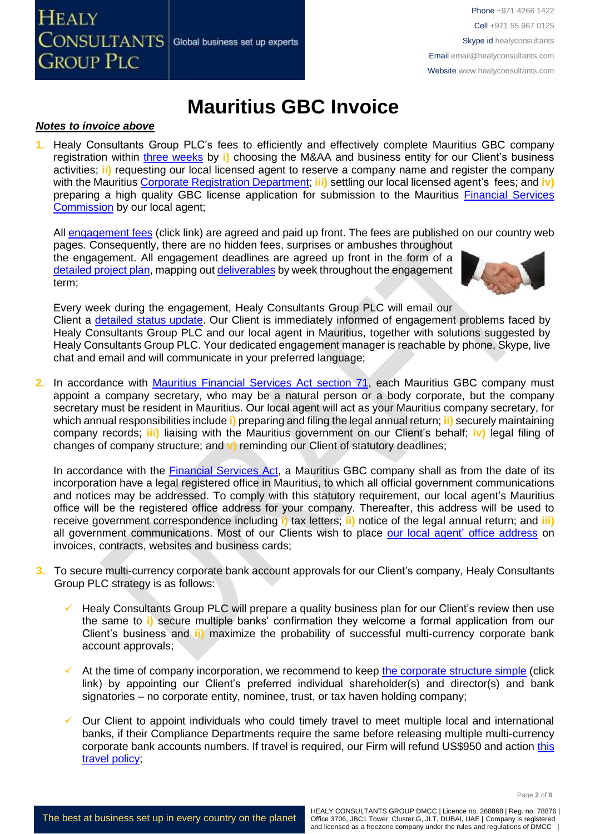

## **Mauritius GBC Invoice**

#### *Notes to invoice above*

**1.** Healy Consultants Group PLC's fees to efficiently and effectively complete Mauritius GBC company registration within [three weeks](https://www.healyconsultants.com/mauritius-company-registration/fees-timelines/#timelines) by **i)** choosing the M&AA and business entity for our Client's business activities; **ii)** requesting our local licensed agent to reserve a company name and register the company with the Mauritius [Corporate Registration Department;](http://companies.govmu.org/English/Pages/default.aspx) **iii)** settling our local licensed agent's fees; and **iv)** preparing a high quality GBC license application for submission to the Mauritius [Financial Services](http://www.fscmauritius.org/being-licensed/applying-for-a-licence/global-business.aspx)  [Commission](http://www.fscmauritius.org/being-licensed/applying-for-a-licence/global-business.aspx) by our local agent;

All [engagement fees](http://www.healyconsultants.com/company-registration-fees/) (click link) are agreed and paid up front. The fees are published on our country web

pages. Consequently, there are no hidden fees, surprises or ambushes throughout the engagement. All engagement deadlines are agreed up front in the form of a [detailed project plan,](http://www.healyconsultants.com/index-important-links/example-project-plan/) mapping out [deliverables](http://www.healyconsultants.com/deliverables-to-our-clients/) by week throughout the engagement term;



Every week during the engagement, Healy Consultants Group PLC will email our

Client a [detailed status update.](http://www.healyconsultants.com/index-important-links/weekly-engagement-status-email/) Our Client is immediately informed of engagement problems faced by Healy Consultants Group PLC and our local agent in Mauritius, together with solutions suggested by Healy Consultants Group PLC. Your dedicated engagement manager is reachable by phone, Skype, live chat and email and will communicate in your preferred language;

2. In accordance with **Mauritius Financial Services Act section 71**, each Mauritius GBC company must appoint a company secretary, who may be a natural person or a body corporate, but the company secretary must be resident in Mauritius. Our local agent will act as your Mauritius company secretary, for which annual responsibilities include **i)** preparing and filing the legal annual return; **ii)** securely maintaining company records; **iii)** liaising with the Mauritius government on our Client's behalf; **iv)** legal filing of changes of company structure; and **v)** reminding our Client of statutory deadlines;

In accordance with the **Financial Services Act**, a Mauritius GBC company shall as from the date of its incorporation have a legal registered office in Mauritius, to which all official government communications and notices may be addressed. To comply with this statutory requirement, our local agent's Mauritius office will be the registered office address for your company. Thereafter, this address will be used to receive government correspondence including **i)** tax letters; **ii)** notice of the legal annual return; and **iii)** all government communications. Most of our Clients wish to place [our local agent'](http://www.healyconsultants.com/corporate-outsourcing-services/company-secretary-and-legal-registered-office/) office address on invoices, contracts, websites and business cards;

- **3.** To secure multi-currency corporate bank account approvals for our Client's company, Healy Consultants Group PLC strategy is as follows:
	- Healy Consultants Group PLC will prepare a quality business plan for our Client's review then use the same to **i)** secure multiple banks' confirmation they welcome a formal application from our Client's business and **ii)** maximize the probability of successful multi-currency corporate bank account approvals;
	- At the time of company incorporation, we recommend to keep [the corporate structure simple](https://www.healyconsultants.com/turnkey-solutions/singapore-turnkey-company-structure/) (click link) by appointing our Client's preferred individual shareholder(s) and director(s) and bank signatories – no corporate entity, nominee, trust, or tax haven holding company;
	- Our Client to appoint individuals who could timely travel to meet multiple local and international banks, if their Compliance Departments require the same before releasing multiple multi-currency corporate bank accounts numbers. If travel is required, our Firm will refund US\$950 and action [this](https://www.healyconsultants.com/international-banking/corporate-accounts/meet-bank-officer/)  [travel policy;](https://www.healyconsultants.com/international-banking/corporate-accounts/meet-bank-officer/)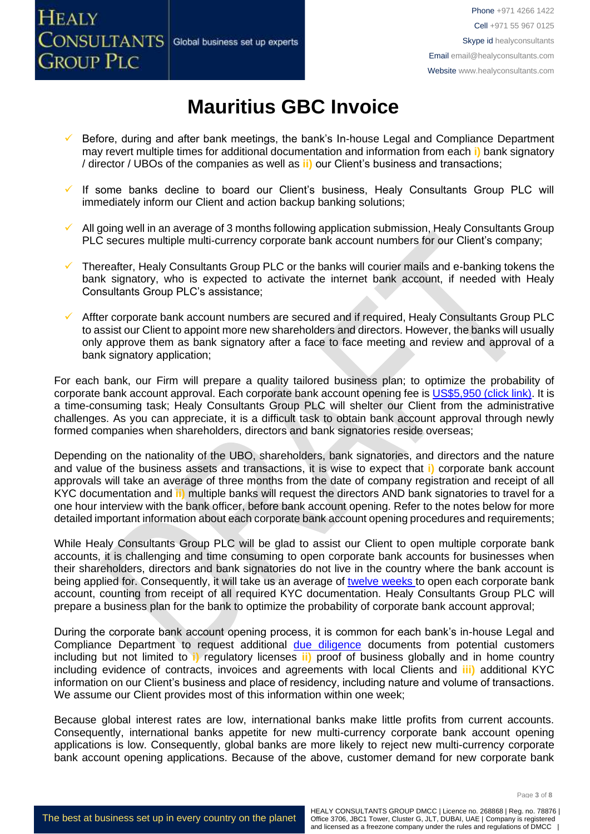

# **Mauritius GBC Invoice**

- Before, during and after bank meetings, the bank's In-house Legal and Compliance Department may revert multiple times for additional documentation and information from each **i)** bank signatory / director / UBOs of the companies as well as **ii)** our Client's business and transactions;
- ✓ If some banks decline to board our Client's business, Healy Consultants Group PLC will immediately inform our Client and action backup banking solutions;
- $\checkmark$  All going well in an average of 3 months following application submission, Healy Consultants Group PLC secures multiple multi-currency corporate bank account numbers for our Client's company;
- ✓ Thereafter, Healy Consultants Group PLC or the banks will courier mails and e-banking tokens the bank signatory, who is expected to activate the internet bank account, if needed with Healy Consultants Group PLC's assistance;
- ✓ Affter corporate bank account numbers are secured and if required, Healy Consultants Group PLC to assist our Client to appoint more new shareholders and directors. However, the banks will usually only approve them as bank signatory after a face to face meeting and review and approval of a bank signatory application;

For each bank, our Firm will prepare a quality tailored business plan; to optimize the probability of corporate bank account approval. Each corporate bank account opening fee is [US\\$5,950 \(click link\).](https://www.healyconsultants.com/global-corporate-banking-for-resident-company/) It is a time-consuming task; Healy Consultants Group PLC will shelter our Client from the administrative challenges. As you can appreciate, it is a difficult task to obtain bank account approval through newly formed companies when shareholders, directors and bank signatories reside overseas;

Depending on the nationality of the UBO, shareholders, bank signatories, and directors and the nature and value of the business assets and transactions, it is wise to expect that **i)** corporate bank account approvals will take an average of three months from the date of company registration and receipt of all KYC documentation and **ii)** multiple banks will request the directors AND bank signatories to travel for a one hour interview with the bank officer, before bank account opening. Refer to the notes below for more detailed important information about each corporate bank account opening procedures and requirements;

While Healy Consultants Group PLC will be glad to assist our Client to open multiple corporate bank accounts, it is challenging and time consuming to open corporate bank accounts for businesses when their shareholders, directors and bank signatories do not live in the country where the bank account is being applied for. Consequently, it will take us an average of [twelve weeks](http://www.healyconsultants.com/international-banking/bitcoin-business-bank-account/) to open each corporate bank account, counting from receipt of all required KYC documentation. Healy Consultants Group PLC will prepare a business plan for the bank to optimize the probability of corporate bank account approval;

During the corporate bank account opening process, it is common for each bank's in-house Legal and Compliance Department to request additional [due diligence](http://www.healyconsultants.com/due-diligence/) documents from potential customers including but not limited to **i)** regulatory licenses **ii)** proof of business globally and in home country including evidence of contracts, invoices and agreements with local Clients and **iii)** additional KYC information on our Client's business and place of residency, including nature and volume of transactions. We assume our Client provides most of this information within one week;

Because global interest rates are low, international banks make little profits from current accounts. Consequently, international banks appetite for new multi-currency corporate bank account opening applications is low. Consequently, global banks are more likely to reject new multi-currency corporate bank account opening applications. Because of the above, customer demand for new corporate bank

Page **3** of **8**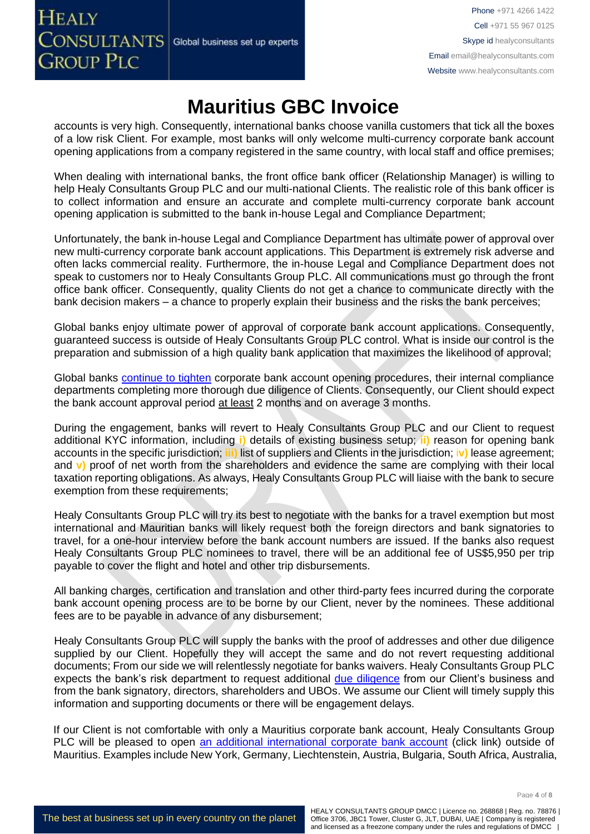## **Mauritius GBC Invoice**

accounts is very high. Consequently, international banks choose vanilla customers that tick all the boxes of a low risk Client. For example, most banks will only welcome multi-currency corporate bank account opening applications from a company registered in the same country, with local staff and office premises;

When dealing with international banks, the front office bank officer (Relationship Manager) is willing to help Healy Consultants Group PLC and our multi-national Clients. The realistic role of this bank officer is to collect information and ensure an accurate and complete multi-currency corporate bank account opening application is submitted to the bank in-house Legal and Compliance Department;

Unfortunately, the bank in-house Legal and Compliance Department has ultimate power of approval over new multi-currency corporate bank account applications. This Department is extremely risk adverse and often lacks commercial reality. Furthermore, the in-house Legal and Compliance Department does not speak to customers nor to Healy Consultants Group PLC. All communications must go through the front office bank officer. Consequently, quality Clients do not get a chance to communicate directly with the bank decision makers – a chance to properly explain their business and the risks the bank perceives;

Global banks enjoy ultimate power of approval of corporate bank account applications. Consequently, guaranteed success is outside of Healy Consultants Group PLC control. What is inside our control is the preparation and submission of a high quality bank application that maximizes the likelihood of approval;

Global banks [continue to tighten](https://www.healyconsultants.com/international-banking/opening-corporate-bank-accounts/) corporate bank account opening procedures, their internal compliance departments completing more thorough due diligence of Clients. Consequently, our Client should expect the bank account approval period at least 2 months and on average 3 months.

During the engagement, banks will revert to Healy Consultants Group PLC and our Client to request additional KYC information, including **i)** details of existing business setup; **ii)** reason for opening bank accounts in the specific jurisdiction; **iii)** list of suppliers and Clients in the jurisdiction; i**v)** lease agreement; and **v)** proof of net worth from the shareholders and evidence the same are complying with their local taxation reporting obligations. As always, Healy Consultants Group PLC will liaise with the bank to secure exemption from these requirements;

Healy Consultants Group PLC will try its best to negotiate with the banks for a travel exemption but most international and Mauritian banks will likely request both the foreign directors and bank signatories to travel, for a one-hour interview before the bank account numbers are issued. If the banks also request Healy Consultants Group PLC nominees to travel, there will be an additional fee of US\$5,950 per trip payable to cover the flight and hotel and other trip disbursements.

All banking charges, certification and translation and other third-party fees incurred during the corporate bank account opening process are to be borne by our Client, never by the nominees. These additional fees are to be payable in advance of any disbursement;

Healy Consultants Group PLC will supply the banks with the proof of addresses and other due diligence supplied by our Client. Hopefully they will accept the same and do not revert requesting additional documents; From our side we will relentlessly negotiate for banks waivers. Healy Consultants Group PLC expects the bank's risk department to request additional [due diligence](http://www.healyconsultants.com/due-diligence/) from our Client's business and from the bank signatory, directors, shareholders and UBOs. We assume our Client will timely supply this information and supporting documents or there will be engagement delays.

If our Client is not comfortable with only a Mauritius corporate bank account, Healy Consultants Group PLC will be pleased to open [an additional international corporate bank account](http://www.healyconsultants.com/international-banking/) (click link) outside of Mauritius. Examples include New York, Germany, Liechtenstein, Austria, Bulgaria, South Africa, Australia,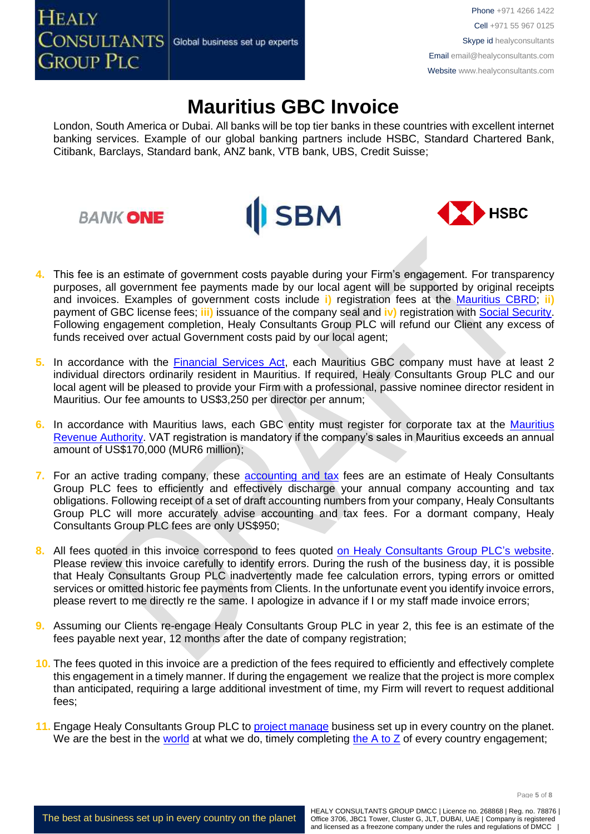# **Mauritius GBC Invoice**

London, South America or Dubai. All banks will be top tier banks in these countries with excellent internet banking services. Example of our global banking partners include HSBC, Standard Chartered Bank, Citibank, Barclays, Standard bank, ANZ bank, VTB bank, UBS, Credit Suisse;





**4.** This fee is an estimate of government costs payable during your Firm's engagement. For transparency purposes, all government fee payments made by our local agent will be supported by original receipts and invoices. Examples of government costs include **i)** registration fees at the [Mauritius CBRD;](http://companies.govmu.org/English/Pages/default.aspx) **ii)** payment of GBC license fees; **iii)** issuance of the company seal and **iv)** registration with [Social Security.](http://socialsecurity.govmu.org/English/Pages/default.aspx) Following engagement completion, Healy Consultants Group PLC will refund our Client any excess of funds received over actual Government costs paid by our local agent;

**II** SBM

- **5.** In accordance with the **Financial Services Act**, each Mauritius GBC company must have at least 2 individual directors ordinarily resident in Mauritius. If required, Healy Consultants Group PLC and our local agent will be pleased to provide your Firm with a professional, passive nominee director resident in Mauritius. Our fee amounts to US\$3,250 per director per annum;
- **6.** In accordance with Mauritius laws, each GBC entity must register for corporate tax at the [Mauritius](http://www.mra.mu/)  [Revenue Authority.](http://www.mra.mu/) VAT registration is mandatory if the company's sales in Mauritius exceeds an annual amount of US\$170,000 (MUR6 million);
- **7.** For an active trading company, these [accounting and tax](http://www.healyconsultants.com/mauritius-company-registration/accounting-legal/) fees are an estimate of Healy Consultants Group PLC fees to efficiently and effectively discharge your annual company accounting and tax obligations. Following receipt of a set of draft accounting numbers from your company, Healy Consultants Group PLC will more accurately advise accounting and tax fees. For a dormant company, Healy Consultants Group PLC fees are only US\$950;
- **8.** All fees quoted in this invoice correspond to fees quoted [on Healy Consultants Group PLC's](http://www.healyconsultants.com/company-registration-fees/) website. Please review this invoice carefully to identify errors. During the rush of the business day, it is possible that Healy Consultants Group PLC inadvertently made fee calculation errors, typing errors or omitted services or omitted historic fee payments from Clients. In the unfortunate event you identify invoice errors, please revert to me directly re the same. I apologize in advance if I or my staff made invoice errors;
- **9.** Assuming our Clients re-engage Healy Consultants Group PLC in year 2, this fee is an estimate of the fees payable next year, 12 months after the date of company registration;
- **10.** The fees quoted in this invoice are a prediction of the fees required to efficiently and effectively complete this engagement in a timely manner. If during the engagement we realize that the project is more complex than anticipated, requiring a large additional investment of time, my Firm will revert to request additional fees;
- **11.** Engage Healy Consultants Group PLC to [project manage](http://www.healyconsultants.com/project-manage-engagements/) business set up in every country on the planet. We are the best in the [world](http://www.healyconsultants.com/best-in-the-world/) at what we do, timely completing the  $A$  to  $Z$  of every country engagement;

Page **5** of **8**

The best at business set up in every country on the planet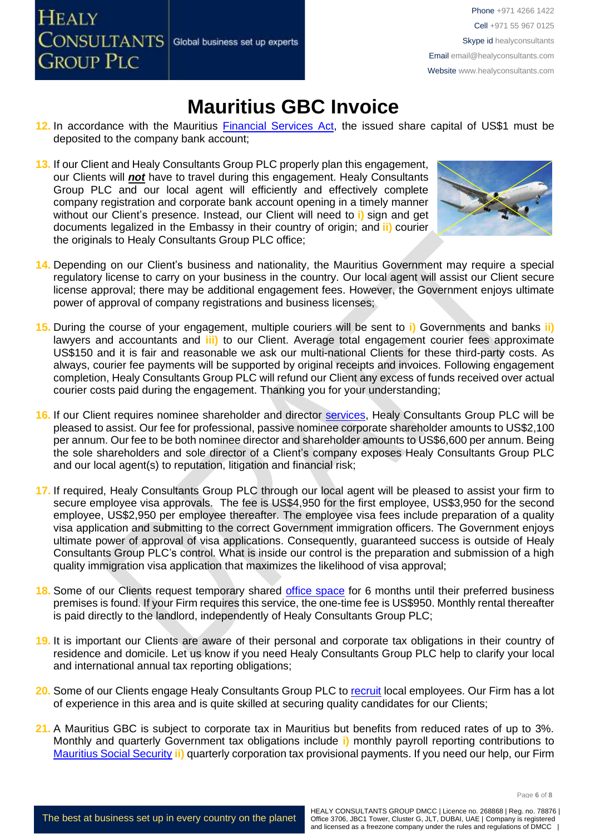**HEALY CONSULTANTS** Global business set up experts **GROUP PLC** 

Phone +971 4266 1422 Cell +971 55 967 0125 Skype id healyconsultants Email [email@healyconsultants.com](mailto:EMAIL@HEALYCONSULTANTS.COM) Website [www.healyconsultants.com](http://www.healyconsultants.com/)

#### **Mauritius GBC Invoice**

- **12.** In accordance with the Mauritius [Financial Services Act,](http://www.fscmauritius.org/media/116561/financial_services_act_2007.pdf) the issued share capital of US\$1 must be deposited to the company bank account;
- **13.** If our Client and Healy Consultants Group PLC properly plan this engagement, our Clients will *not* have to travel during this engagement. Healy Consultants Group PLC and our local agent will efficiently and effectively complete company registration and corporate bank account opening in a timely manner without our Client's presence. Instead, our Client will need to **i)** sign and get documents legalized in the Embassy in their country of origin; and **ii)** courier the originals to Healy Consultants Group PLC office;



- **14.** Depending on our Client's business and nationality, the Mauritius Government may require a special regulatory license to carry on your business in the country. Our local agent will assist our Client secure license approval; there may be additional engagement fees. However, the Government enjoys ultimate power of approval of company registrations and business licenses;
- **15.** During the course of your engagement, multiple couriers will be sent to **i)** Governments and banks **ii)**  lawyers and accountants and **iii)** to our Client. Average total engagement courier fees approximate US\$150 and it is fair and reasonable we ask our multi-national Clients for these third-party costs. As always, courier fee payments will be supported by original receipts and invoices. Following engagement completion, Healy Consultants Group PLC will refund our Client any excess of funds received over actual courier costs paid during the engagement. Thanking you for your understanding;
- **16.** If our Client requires nominee shareholder and director [services,](http://www.healyconsultants.com/corporate-outsourcing-services/nominee-shareholders-directors/) Healy Consultants Group PLC will be pleased to assist. Our fee for professional, passive nominee corporate shareholder amounts to US\$2,100 per annum. Our fee to be both nominee director and shareholder amounts to US\$6,600 per annum. Being the sole shareholders and sole director of a Client's company exposes Healy Consultants Group PLC and our local agent(s) to reputation, litigation and financial risk;
- **17.** If required, Healy Consultants Group PLC through our local agent will be pleased to assist your firm to secure employee visa approvals. The fee is US\$4,950 for the first employee, US\$3,950 for the second employee, US\$2,950 per employee thereafter. The employee visa fees include preparation of a quality visa application and submitting to the correct Government immigration officers. The Government enjoys ultimate power of approval of visa applications. Consequently, guaranteed success is outside of Healy Consultants Group PLC's control. What is inside our control is the preparation and submission of a high quality immigration visa application that maximizes the likelihood of visa approval;
- 18. Some of our Clients request temporary shared [office space](http://www.healyconsultants.com/virtual-office/) for 6 months until their preferred business premises is found. If your Firm requires this service, the one-time fee is US\$950. Monthly rental thereafter is paid directly to the landlord, independently of Healy Consultants Group PLC;
- **19.** It is important our Clients are aware of their personal and corporate tax obligations in their country of residence and domicile. Let us know if you need Healy Consultants Group PLC help to clarify your local and international annual tax reporting obligations;
- **20.** Some of our Clients engage Healy Consultants Group PLC to [recruit](http://www.healyconsultants.com/corporate-outsourcing-services/how-we-help-our-clients-recruit-quality-employees/) local employees. Our Firm has a lot of experience in this area and is quite skilled at securing quality candidates for our Clients;
- **21.** A Mauritius GBC is subject to corporate tax in Mauritius but benefits from reduced rates of up to 3%. Monthly and quarterly Government tax obligations include **i)** monthly payroll reporting contributions to [Mauritius Social Security](file:///D:/AppData/Local/Microsoft/Windows/INetCache/Content.Outlook/XRFLDTO1/socialsecurity.gov.mu/) **ii)** quarterly corporation tax provisional payments. If you need our help, our Firm

Page **6** of **8**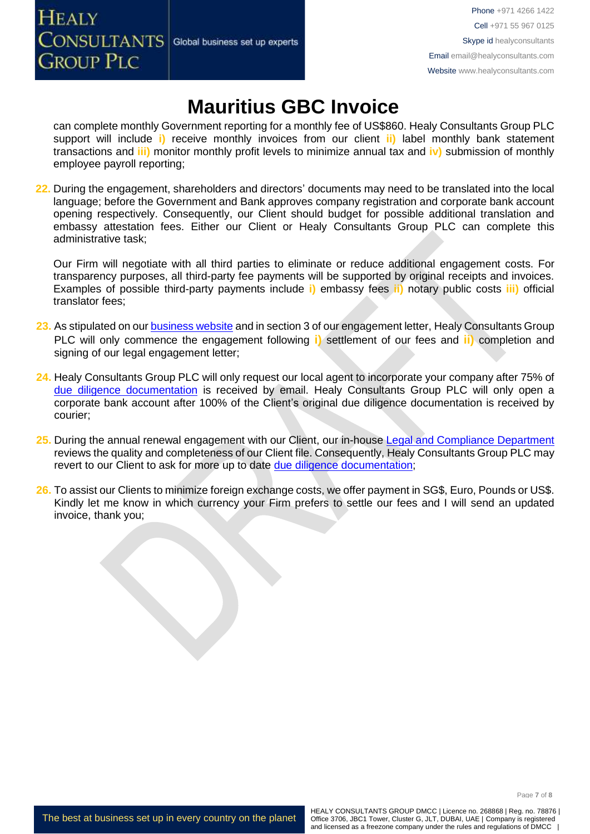

## **Mauritius GBC Invoice**

can complete monthly Government reporting for a monthly fee of US\$860. Healy Consultants Group PLC support will include **i)** receive monthly invoices from our client **ii)** label monthly bank statement transactions and **iii)** monitor monthly profit levels to minimize annual tax and **iv)** submission of monthly employee payroll reporting;

**22.** During the engagement, shareholders and directors' documents may need to be translated into the local language; before the Government and Bank approves company registration and corporate bank account opening respectively. Consequently, our Client should budget for possible additional translation and embassy attestation fees. Either our Client or Healy Consultants Group PLC can complete this administrative task;

Our Firm will negotiate with all third parties to eliminate or reduce additional engagement costs. For transparency purposes, all third-party fee payments will be supported by original receipts and invoices. Examples of possible third-party payments include **i)** embassy fees **ii)** notary public costs **iii)** official translator fees;

- 23. As stipulated on our **business website** and in section 3 of our engagement letter, Healy Consultants Group PLC will only commence the engagement following **i)** settlement of our fees and **ii)** completion and signing of our legal engagement letter;
- **24.** Healy Consultants Group PLC will only request our local agent to incorporate your company after 75% of [due diligence documentation](http://www.healyconsultants.com/due-diligence/) is received by email. Healy Consultants Group PLC will only open a corporate bank account after 100% of the Client's original due diligence documentation is received by courier;
- **25.** During the annual renewal engagement with our Client, our in-house [Legal and Compliance Department](http://www.healyconsultants.com/about-us/key-personnel/cai-xin-profile/) reviews the quality and completeness of our Client file. Consequently, Healy Consultants Group PLC may revert to our Client to ask for more up to date [due diligence documentation;](http://www.healyconsultants.com/due-diligence/)
- **26.** To assist our Clients to minimize foreign exchange costs, we offer payment in SG\$, Euro, Pounds or US\$. Kindly let me know in which currency your Firm prefers to settle our fees and I will send an updated invoice, thank you;

The best at business set up in every country on the planet